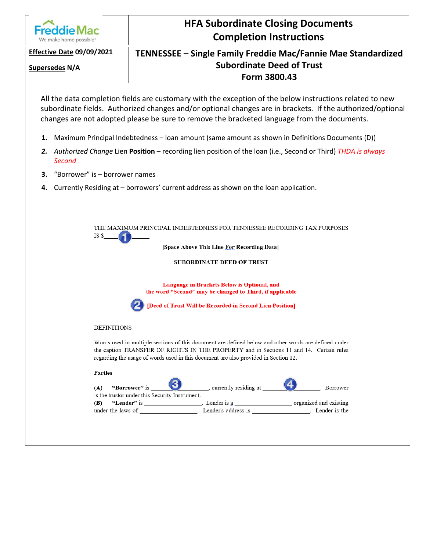|                                      | <b>HFA Subordinate Closing Documents</b>                                                                                                                                                                                                                                                                              |
|--------------------------------------|-----------------------------------------------------------------------------------------------------------------------------------------------------------------------------------------------------------------------------------------------------------------------------------------------------------------------|
| We make home possible <sup>®</sup>   | <b>Completion Instructions</b>                                                                                                                                                                                                                                                                                        |
| Effective Date 09/09/2021            | TENNESSEE – Single Family Freddie Mac/Fannie Mae Standardized                                                                                                                                                                                                                                                         |
| <b>Supersedes N/A</b>                | <b>Subordinate Deed of Trust</b><br>Form 3800.43                                                                                                                                                                                                                                                                      |
|                                      | All the data completion fields are customary with the exception of the below instructions related to new<br>subordinate fields. Authorized changes and/or optional changes are in brackets. If the authorized/optional<br>changes are not adopted please be sure to remove the bracketed language from the documents. |
| 1.                                   | Maximum Principal Indebtedness - Ioan amount (same amount as shown in Definitions Documents (D))                                                                                                                                                                                                                      |
| 2.<br>Second                         | Authorized Change Lien Position - recording lien position of the loan (i.e., Second or Third) THDA is always                                                                                                                                                                                                          |
| "Borrower" is - borrower names<br>З. |                                                                                                                                                                                                                                                                                                                       |
| 4.                                   | Currently Residing at – borrowers' current address as shown on the loan application.                                                                                                                                                                                                                                  |
| IS \$                                | THE MAXIMUM PRINCIPAL INDEBTEDNESS FOR TENNESSEE RECORDING TAX PURPOSES<br>[Space Above This Line For Recording Data]<br><b>SUBORDINATE DEED OF TRUST</b>                                                                                                                                                             |
|                                      | Language in Brackets Below is Optional, and<br>the word "Second" may be changed to Third, if applicable<br>[Deed of Trust Will be Recorded in Second Lien Position]                                                                                                                                                   |
| <b>DEFINITIONS</b>                   |                                                                                                                                                                                                                                                                                                                       |
|                                      | Words used in multiple sections of this document are defined below and other words are defined under<br>the caption TRANSFER OF RIGHTS IN THE PROPERTY and in Sections 11 and 14. Certain rules<br>regarding the usage of words used in this document are also provided in Section 12.                                |
| <b>Parties</b>                       |                                                                                                                                                                                                                                                                                                                       |
| (A)                                  | __________, currently residing at ________<br>"Borrower" is<br>. Borrower<br>is the trustor under this Security Instrument.                                                                                                                                                                                           |
| (B)                                  |                                                                                                                                                                                                                                                                                                                       |
|                                      |                                                                                                                                                                                                                                                                                                                       |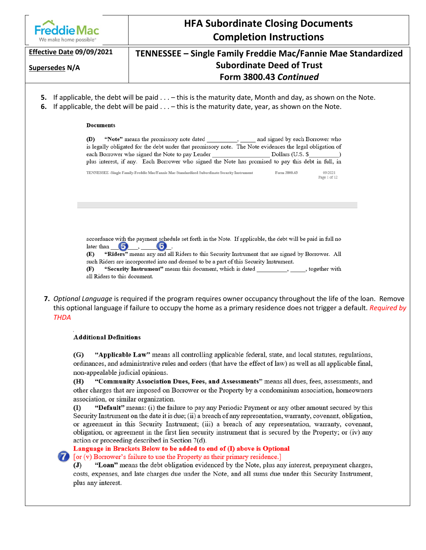

## **HFA Subordinate Closing Documents Completion Instructions**

#### **Supersedes N/A**

## **Effective Date 09/09/2021 TENNESSEE – Single Family Freddie Mac/Fannie Mae Standardized Subordinate Deed of Trust Form 3800.43** *Continued*

- **5.** If applicable, the debt will be paid . . . this is the maturity date, Month and day, as shown on the Note.
- **6.** If applicable, the debt will be paid . . . this is the maturity date, year, as shown on the Note.

#### **Documents**

"Note" means the promissory note dated and signed by each Borrower who (D) is legally obligated for the debt under that promissory note. The Note evidences the legal obligation of each Borrower who signed the Note to pay Lender Dollars (U.S. \$ plus interest, if any. Each Borrower who signed the Note has promised to pay this debt in full, in

| TENNESSEE -Single Family-Freddie Mac/Fannie Mae Standardized Subordinate Security Instrument | Form 3800.43 | 09/2021      |
|----------------------------------------------------------------------------------------------|--------------|--------------|
|                                                                                              |              | Page 1 of 12 |

accordance with the payment schedule set forth in the Note. If applicable, the debt will be paid in full no later than 6  $\bullet$ 

"Riders" means any and all Riders to this Security Instrument that are signed by Borrower. All Œ) such Riders are incorporated into and deemed to be a part of this Security Instrument.

"Security Instrument" means this document, which is dated , together with Œ) all Riders to this document.

**7.** *Optional Language* is required if the program requires owner occupancy throughout the life of the loan. Remove this optional language if failure to occupy the home as a primary residence does not trigger a default. *Required by THDA*

### **Additional Definitions**

 $(G)$ "Applicable Law" means all controlling applicable federal, state, and local statutes, regulations, ordinances, and administrative rules and orders (that have the effect of law) as well as all applicable final, non-appealable judicial opinions.

(H) "Community Association Dues, Fees, and Assessments" means all dues, fees, assessments, and other charges that are imposed on Borrower or the Property by a condominium association, homeowners association, or similar organization.

"Default" means: (i) the failure to pay any Periodic Payment or any other amount secured by this (I) Security Instrument on the date it is due; (ii) a breach of any representation, warranty, covenant, obligation, or agreement in this Security Instrument; (iii) a breach of any representation, warranty, covenant, obligation, or agreement in the first lien security instrument that is secured by the Property; or (iv) any action or proceeding described in Section 7(d).

Language in Brackets Below to be added to end of (I) above is Optional

[or (v) Borrower's failure to use the Property as their primary residence.]

 $\mathbf{J}$ "Loan" means the debt obligation evidenced by the Note, plus any interest, prepayment charges, costs, expenses, and late charges due under the Note, and all sums due under this Security Instrument, plus any interest.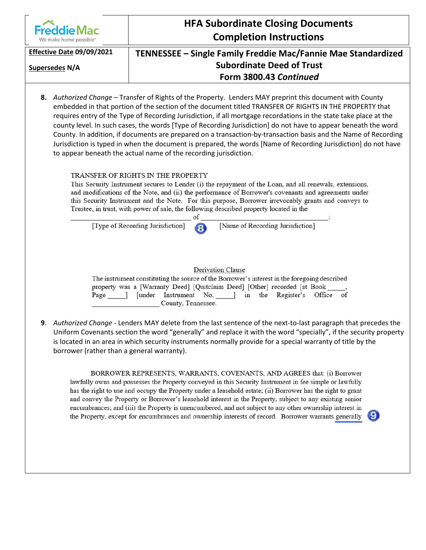|                                                          | <b>HFA Subordinate Closing Documents</b>                                                                                                                                                                                                                                                                                                                                                                                                                                                                                                                                                                                                                                                                                                                           |
|----------------------------------------------------------|--------------------------------------------------------------------------------------------------------------------------------------------------------------------------------------------------------------------------------------------------------------------------------------------------------------------------------------------------------------------------------------------------------------------------------------------------------------------------------------------------------------------------------------------------------------------------------------------------------------------------------------------------------------------------------------------------------------------------------------------------------------------|
| <b>Freddie Mac</b><br>We make home possible <sup>®</sup> | <b>Completion Instructions</b>                                                                                                                                                                                                                                                                                                                                                                                                                                                                                                                                                                                                                                                                                                                                     |
| Effective Date 09/09/2021                                | TENNESSEE – Single Family Freddie Mac/Fannie Mae Standardized                                                                                                                                                                                                                                                                                                                                                                                                                                                                                                                                                                                                                                                                                                      |
| Supersedes N/A                                           | <b>Subordinate Deed of Trust</b>                                                                                                                                                                                                                                                                                                                                                                                                                                                                                                                                                                                                                                                                                                                                   |
|                                                          | Form 3800.43 Continued                                                                                                                                                                                                                                                                                                                                                                                                                                                                                                                                                                                                                                                                                                                                             |
|                                                          | 8. Authorized Change - Transfer of Rights of the Property. Lenders MAY preprint this document with County<br>embedded in that portion of the section of the document titled TRANSFER OF RIGHTS IN THE PROPERTY that<br>requires entry of the Type of Recording Jurisdiction, if all mortgage recordations in the state take place at the<br>county level. In such cases, the words [Type of Recording Jurisdiction] do not have to appear beneath the word<br>County. In addition, if documents are prepared on a transaction-by-transaction basis and the Name of Recording<br>Jurisdiction is typed in when the document is prepared, the words [Name of Recording Jurisdiction] do not have<br>to appear beneath the actual name of the recording jurisdiction. |
|                                                          | TRANSFER OF RIGHTS IN THE PROPERTY<br>This Security Instrument secures to Lender (i) the repayment of the Loan, and all renewals, extensions,<br>and modifications of the Note, and (ii) the performance of Borrower's covenants and agreements under<br>this Security Instrument and the Note. For this purpose, Borrower irrevocably grants and conveys to<br>Trustee, in trust, with power of sale, the following described property located in the<br>of                                                                                                                                                                                                                                                                                                       |
|                                                          | [Name of Recording Jurisdiction]<br>[Type of Recording Jurisdiction]<br>8                                                                                                                                                                                                                                                                                                                                                                                                                                                                                                                                                                                                                                                                                          |
|                                                          | <b>Derivation Clause</b><br>The instrument constituting the source of the Borrower's interest in the foregoing described<br>property was a [Warranty Deed] [Quitclaim Deed] [Other] recorded [at Book ]<br>Page ] [under Instrument No. ] in the Register's<br>Office<br>οf<br>County, Tennessee.<br>9. Authorized Change - Lenders MAY delete from the last sentence of the next-to-last paragraph that precedes the<br>Uniform Covenants section the word "generally" and replace it with the word "specially", if the security property                                                                                                                                                                                                                         |
| borrower (rather than a general warranty).               | is located in an area in which security instruments normally provide for a special warranty of title by the                                                                                                                                                                                                                                                                                                                                                                                                                                                                                                                                                                                                                                                        |

BORROWER REPRESENTS, WARRANTS, COVENANTS, AND AGREES that: (i) Borrower lawfully owns and possesses the Property conveyed in this Security Instrument in fee simple or lawfully has the right to use and occupy the Property under a leasehold estate; (ii) Borrower has the right to grant and convey the Property or Borrower's leasehold interest in the Property, subject to any existing senior encumbrances; and (iii) the Property is unencumbered, and not subject to any other ownership interest in the Property, except for encumbrances and ownership interests of record. Borrower warrants generally

 $\boldsymbol{9}$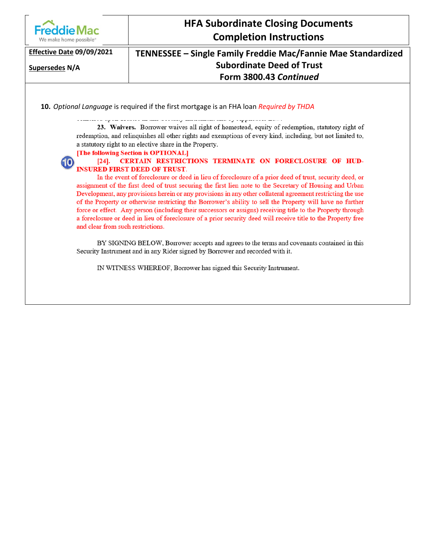| <b>Freddie Mac</b><br>We make home possible <sup>®</sup> | <b>HFA Subordinate Closing Documents</b><br><b>Completion Instructions</b>                                                                                                                                                                                                                                                                                                                                                                                                                                                                                                                                                                                                                                                                                                                                                                                                                                                                                                                                                                                                                                                                                                                |
|----------------------------------------------------------|-------------------------------------------------------------------------------------------------------------------------------------------------------------------------------------------------------------------------------------------------------------------------------------------------------------------------------------------------------------------------------------------------------------------------------------------------------------------------------------------------------------------------------------------------------------------------------------------------------------------------------------------------------------------------------------------------------------------------------------------------------------------------------------------------------------------------------------------------------------------------------------------------------------------------------------------------------------------------------------------------------------------------------------------------------------------------------------------------------------------------------------------------------------------------------------------|
| Effective Date 09/09/2021<br>Supersedes N/A              | TENNESSEE – Single Family Freddie Mac/Fannie Mae Standardized<br><b>Subordinate Deed of Trust</b><br>Form 3800.43 Continued                                                                                                                                                                                                                                                                                                                                                                                                                                                                                                                                                                                                                                                                                                                                                                                                                                                                                                                                                                                                                                                               |
| 10<br>$[24]$ .                                           | 10. Optional Language is required if the first mortgage is an FHA loan Required by THDA<br>23. Waivers. Borrower waives all right of homestead, equity of redemption, statutory right of<br>redemption, and relinquishes all other rights and exemptions of every kind, including, but not limited to,<br>a statutory right to an elective share in the Property.<br>[The following Section is OPTIONAL]<br>CERTAIN RESTRICTIONS TERMINATE ON FORECLOSURE OF HUD-<br><b>INSURED FIRST DEED OF TRUST.</b><br>In the event of foreclosure or deed in lieu of foreclosure of a prior deed of trust, security deed, or<br>assignment of the first deed of trust securing the first lien note to the Secretary of Housing and Urban<br>Development, any provisions herein or any provisions in any other collateral agreement restricting the use<br>of the Property or otherwise restricting the Borrower's ability to sell the Property will have no further<br>force or effect. Any person (including their successors or assigns) receiving title to the Property through<br>a foreclosure or deed in lieu of foreclosure of a prior security deed will receive title to the Property free |
|                                                          | and clear from such restrictions.<br>BY SIGNING BELOW, Borrower accepts and agrees to the terms and covenants contained in this<br>Security Instrument and in any Rider signed by Borrower and recorded with it.<br>IN WITNESS WHEREOF, Borrower has signed this Security Instrument.                                                                                                                                                                                                                                                                                                                                                                                                                                                                                                                                                                                                                                                                                                                                                                                                                                                                                                     |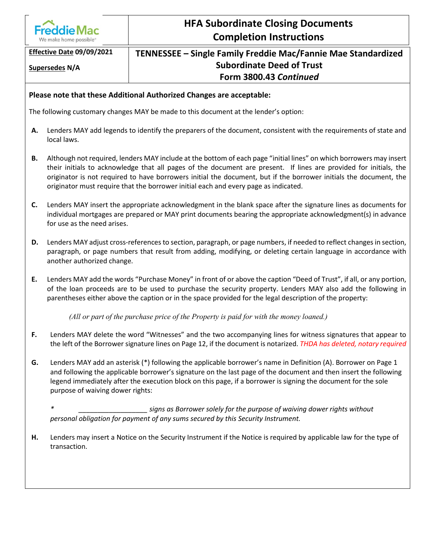

# **HFA Subordinate Closing Documents Completion Instructions**

**Supersedes N/A**

## **Effective Date 09/09/2021 TENNESSEE – Single Family Freddie Mac/Fannie Mae Standardized Subordinate Deed of Trust Form 3800.43** *Continued*

### **Please note that these Additional Authorized Changes are acceptable:**

The following customary changes MAY be made to this document at the lender's option:

- **A.** Lenders MAY add legends to identify the preparers of the document, consistent with the requirements of state and local laws.
- **B.** Although not required, lenders MAY include at the bottom of each page "initial lines" on which borrowers may insert their initials to acknowledge that all pages of the document are present. If lines are provided for initials, the originator is not required to have borrowers initial the document, but if the borrower initials the document, the originator must require that the borrower initial each and every page as indicated.
- **C.** Lenders MAY insert the appropriate acknowledgment in the blank space after the signature lines as documents for individual mortgages are prepared or MAY print documents bearing the appropriate acknowledgment(s) in advance for use as the need arises.
- **D.** Lenders MAY adjust cross-references to section, paragraph, or page numbers, if needed to reflect changes in section, paragraph, or page numbers that result from adding, modifying, or deleting certain language in accordance with another authorized change.
- **E.** Lenders MAY add the words "Purchase Money" in front of or above the caption "Deed of Trust", if all, or any portion, of the loan proceeds are to be used to purchase the security property. Lenders MAY also add the following in parentheses either above the caption or in the space provided for the legal description of the property:

*(All or part of the purchase price of the Property is paid for with the money loaned.)*

- **F.** Lenders MAY delete the word "Witnesses" and the two accompanying lines for witness signatures that appear to the left of the Borrower signature lines on Page 12, if the document is notarized. *THDA has deleted, notary required*
- **G.** Lenders MAY add an asterisk (\*) following the applicable borrower's name in Definition (A). Borrower on Page 1 and following the applicable borrower's signature on the last page of the document and then insert the following legend immediately after the execution block on this page, if a borrower is signing the document for the sole purpose of waiving dower rights:

*\* \_\_\_\_\_\_\_\_\_\_\_\_\_\_\_\_\_\_ signs as Borrower solely for the purpose of waiving dower rights without personal obligation for payment of any sums secured by this Security Instrument.*

**H.** Lenders may insert a Notice on the Security Instrument if the Notice is required by applicable law for the type of transaction.